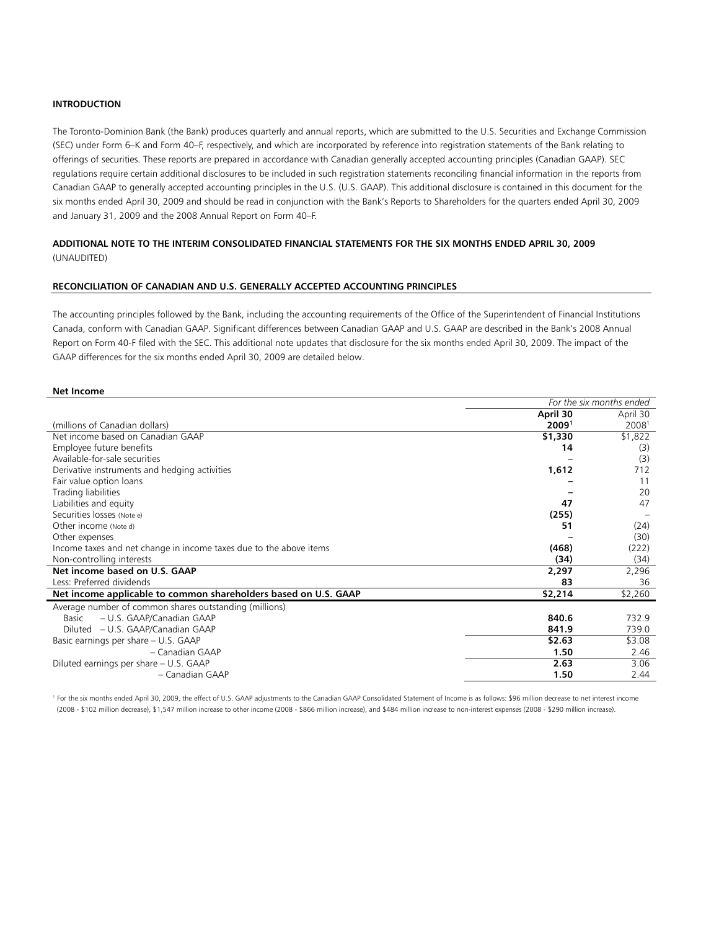# **INTRODUCTION**

The Toronto-Dominion Bank (the Bank) produces quarterly and annual reports, which are submitted to the U.S. Securities and Exchange Commission (SEC) under Form 6–K and Form 40–F, respectively, and which are incorporated by reference into registration statements of the Bank relating to offerings of securities. These reports are prepared in accordance with Canadian generally accepted accounting principles (Canadian GAAP). SEC regulations require certain additional disclosures to be included in such registration statements reconciling financial information in the reports from Canadian GAAP to generally accepted accounting principles in the U.S. (U.S. GAAP). This additional disclosure is contained in this document for the six months ended April 30, 2009 and should be read in conjunction with the Bank's Reports to Shareholders for the quarters ended April 30, 2009 and January 31, 2009 and the 2008 Annual Report on Form 40–F.

# **ADDITIONAL NOTE TO THE INTERIM CONSOLIDATED FINANCIAL STATEMENTS FOR THE SIX MONTHS ENDED APRIL 30, 2009**  (UNAUDITED)

## **RECONCILIATION OF CANADIAN AND U.S. GENERALLY ACCEPTED ACCOUNTING PRINCIPLES**

The accounting principles followed by the Bank, including the accounting requirements of the Office of the Superintendent of Financial Institutions Canada, conform with Canadian GAAP. Significant differences between Canadian GAAP and U.S. GAAP are described in the Bank's 2008 Annual Report on Form 40-F filed with the SEC. This additional note updates that disclosure for the six months ended April 30, 2009. The impact of the GAAP differences for the six months ended April 30, 2009 are detailed below.

#### **Net Income**

| April 30<br>April 30<br>20091<br>20081<br>(millions of Canadian dollars)<br>Net income based on Canadian GAAP<br>\$1,330<br>\$1,822<br>Employee future benefits<br>14<br>(3)<br>Available-for-sale securities<br>(3)<br>712<br>Derivative instruments and hedging activities<br>1,612<br>Fair value option loans<br>11<br>Trading liabilities<br>20<br>47<br>Liabilities and equity<br>47<br>Securities losses (Note e)<br>(255)<br>Other income (Note d)<br>(24)<br>51<br>(30)<br>Other expenses<br>Income taxes and net change in income taxes due to the above items<br>(468)<br>(222)<br>Non-controlling interests<br>(34)<br>(34)<br>Net income based on U.S. GAAP<br>2,297<br>2,296<br>Less: Preferred dividends<br>83<br>36<br>Net income applicable to common shareholders based on U.S. GAAP<br>\$2,214<br>\$2,260<br>Average number of common shares outstanding (millions)<br>840.6<br>732.9<br>– U.S. GAAP/Canadian GAAP<br>Basic<br>739.0<br>Diluted – U.S. GAAP/Canadian GAAP<br>841.9<br>\$2.63<br>\$3.08<br>Basic earnings per share – U.S. GAAP<br>1.50<br>- Canadian GAAP<br>2.46<br>2.63<br>3.06<br>Diluted earnings per share - U.S. GAAP<br>- Canadian GAAP<br>1.50<br>2.44 | For the six months ended |  |  |  |
|--------------------------------------------------------------------------------------------------------------------------------------------------------------------------------------------------------------------------------------------------------------------------------------------------------------------------------------------------------------------------------------------------------------------------------------------------------------------------------------------------------------------------------------------------------------------------------------------------------------------------------------------------------------------------------------------------------------------------------------------------------------------------------------------------------------------------------------------------------------------------------------------------------------------------------------------------------------------------------------------------------------------------------------------------------------------------------------------------------------------------------------------------------------------------------------------------|--------------------------|--|--|--|
|                                                                                                                                                                                                                                                                                                                                                                                                                                                                                                                                                                                                                                                                                                                                                                                                                                                                                                                                                                                                                                                                                                                                                                                                  |                          |  |  |  |
|                                                                                                                                                                                                                                                                                                                                                                                                                                                                                                                                                                                                                                                                                                                                                                                                                                                                                                                                                                                                                                                                                                                                                                                                  |                          |  |  |  |
|                                                                                                                                                                                                                                                                                                                                                                                                                                                                                                                                                                                                                                                                                                                                                                                                                                                                                                                                                                                                                                                                                                                                                                                                  |                          |  |  |  |
|                                                                                                                                                                                                                                                                                                                                                                                                                                                                                                                                                                                                                                                                                                                                                                                                                                                                                                                                                                                                                                                                                                                                                                                                  |                          |  |  |  |
|                                                                                                                                                                                                                                                                                                                                                                                                                                                                                                                                                                                                                                                                                                                                                                                                                                                                                                                                                                                                                                                                                                                                                                                                  |                          |  |  |  |
|                                                                                                                                                                                                                                                                                                                                                                                                                                                                                                                                                                                                                                                                                                                                                                                                                                                                                                                                                                                                                                                                                                                                                                                                  |                          |  |  |  |
|                                                                                                                                                                                                                                                                                                                                                                                                                                                                                                                                                                                                                                                                                                                                                                                                                                                                                                                                                                                                                                                                                                                                                                                                  |                          |  |  |  |
|                                                                                                                                                                                                                                                                                                                                                                                                                                                                                                                                                                                                                                                                                                                                                                                                                                                                                                                                                                                                                                                                                                                                                                                                  |                          |  |  |  |
|                                                                                                                                                                                                                                                                                                                                                                                                                                                                                                                                                                                                                                                                                                                                                                                                                                                                                                                                                                                                                                                                                                                                                                                                  |                          |  |  |  |
|                                                                                                                                                                                                                                                                                                                                                                                                                                                                                                                                                                                                                                                                                                                                                                                                                                                                                                                                                                                                                                                                                                                                                                                                  |                          |  |  |  |
|                                                                                                                                                                                                                                                                                                                                                                                                                                                                                                                                                                                                                                                                                                                                                                                                                                                                                                                                                                                                                                                                                                                                                                                                  |                          |  |  |  |
|                                                                                                                                                                                                                                                                                                                                                                                                                                                                                                                                                                                                                                                                                                                                                                                                                                                                                                                                                                                                                                                                                                                                                                                                  |                          |  |  |  |
|                                                                                                                                                                                                                                                                                                                                                                                                                                                                                                                                                                                                                                                                                                                                                                                                                                                                                                                                                                                                                                                                                                                                                                                                  |                          |  |  |  |
|                                                                                                                                                                                                                                                                                                                                                                                                                                                                                                                                                                                                                                                                                                                                                                                                                                                                                                                                                                                                                                                                                                                                                                                                  |                          |  |  |  |
|                                                                                                                                                                                                                                                                                                                                                                                                                                                                                                                                                                                                                                                                                                                                                                                                                                                                                                                                                                                                                                                                                                                                                                                                  |                          |  |  |  |
|                                                                                                                                                                                                                                                                                                                                                                                                                                                                                                                                                                                                                                                                                                                                                                                                                                                                                                                                                                                                                                                                                                                                                                                                  |                          |  |  |  |
|                                                                                                                                                                                                                                                                                                                                                                                                                                                                                                                                                                                                                                                                                                                                                                                                                                                                                                                                                                                                                                                                                                                                                                                                  |                          |  |  |  |
|                                                                                                                                                                                                                                                                                                                                                                                                                                                                                                                                                                                                                                                                                                                                                                                                                                                                                                                                                                                                                                                                                                                                                                                                  |                          |  |  |  |
|                                                                                                                                                                                                                                                                                                                                                                                                                                                                                                                                                                                                                                                                                                                                                                                                                                                                                                                                                                                                                                                                                                                                                                                                  |                          |  |  |  |
|                                                                                                                                                                                                                                                                                                                                                                                                                                                                                                                                                                                                                                                                                                                                                                                                                                                                                                                                                                                                                                                                                                                                                                                                  |                          |  |  |  |
|                                                                                                                                                                                                                                                                                                                                                                                                                                                                                                                                                                                                                                                                                                                                                                                                                                                                                                                                                                                                                                                                                                                                                                                                  |                          |  |  |  |
|                                                                                                                                                                                                                                                                                                                                                                                                                                                                                                                                                                                                                                                                                                                                                                                                                                                                                                                                                                                                                                                                                                                                                                                                  |                          |  |  |  |
|                                                                                                                                                                                                                                                                                                                                                                                                                                                                                                                                                                                                                                                                                                                                                                                                                                                                                                                                                                                                                                                                                                                                                                                                  |                          |  |  |  |
|                                                                                                                                                                                                                                                                                                                                                                                                                                                                                                                                                                                                                                                                                                                                                                                                                                                                                                                                                                                                                                                                                                                                                                                                  |                          |  |  |  |

1 For the six months ended April 30, 2009, the effect of U.S. GAAP adjustments to the Canadian GAAP Consolidated Statement of Income is as follows: \$96 million decrease to net interest income (2008 - \$102 million decrease), \$1,547 million increase to other income (2008 - \$866 million increase), and \$484 million increase to non-interest expenses (2008 - \$290 million increase).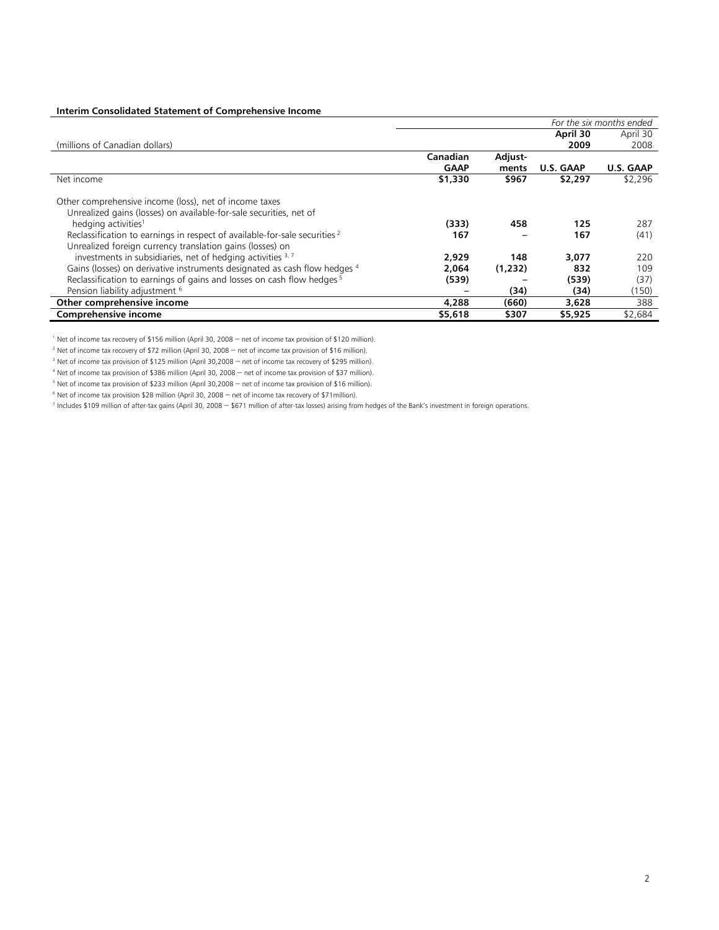# **Interim Consolidated Statement of Comprehensive Income**

|                                                                                       | For the six months ended |         |                  |           |  |  |  |  |
|---------------------------------------------------------------------------------------|--------------------------|---------|------------------|-----------|--|--|--|--|
|                                                                                       |                          |         | April 30         | April 30  |  |  |  |  |
| (millions of Canadian dollars)                                                        |                          |         | 2009             | 2008      |  |  |  |  |
|                                                                                       | Canadian                 | Adjust- |                  |           |  |  |  |  |
|                                                                                       | <b>GAAP</b>              | ments   | <b>U.S. GAAP</b> | U.S. GAAP |  |  |  |  |
| Net income                                                                            | \$1,330                  | \$967   | \$2,297          | \$2,296   |  |  |  |  |
| Other comprehensive income (loss), net of income taxes                                |                          |         |                  |           |  |  |  |  |
| Unrealized gains (losses) on available-for-sale securities, net of                    |                          |         |                  |           |  |  |  |  |
| hedging activities <sup>1</sup>                                                       | (333)                    | 458     | 125              | 287       |  |  |  |  |
| Reclassification to earnings in respect of available-for-sale securities <sup>2</sup> | 167                      |         | 167              | (41)      |  |  |  |  |
| Unrealized foreign currency translation gains (losses) on                             |                          |         |                  |           |  |  |  |  |
| investments in subsidiaries, net of hedging activities 3,7                            | 2,929                    | 148     | 3,077            | 220       |  |  |  |  |
| Gains (losses) on derivative instruments designated as cash flow hedges 4             | 2.064                    | (1,232) | 832              | 109       |  |  |  |  |
| Reclassification to earnings of gains and losses on cash flow hedges <sup>5</sup>     | (539)                    |         | (539)            | (37)      |  |  |  |  |
| Pension liability adjustment <sup>6</sup>                                             |                          | (34)    | (34)             | (150)     |  |  |  |  |
| Other comprehensive income                                                            | 4,288                    | (660)   | 3,628            | 388       |  |  |  |  |
| Comprehensive income                                                                  | \$5,618                  | \$307   | \$5,925          | \$2,684   |  |  |  |  |

<sup>1</sup> Net of income tax recovery of \$156 million (April 30, 2008 – net of income tax provision of \$120 million).

<sup>2</sup> Net of income tax recovery of \$72 million (April 30, 2008 – net of income tax provision of \$16 million).

<sup>3</sup> Net of income tax provision of \$125 million (April 30,2008 – net of income tax recovery of \$295 million).

4 Net of income tax provision of \$386 million (April 30, 2008 – net of income tax provision of \$37 million).

<sup>5</sup> Net of income tax provision of \$233 million (April 30,2008 – net of income tax provision of \$16 million).

6 Net of income tax provision \$28 million (April 30, 2008 – net of income tax recovery of \$71million).

7 Includes \$109 million of after-tax gains (April 30, 2008 – \$671 million of after-tax losses) arising from hedges of the Bank's investment in foreign operations.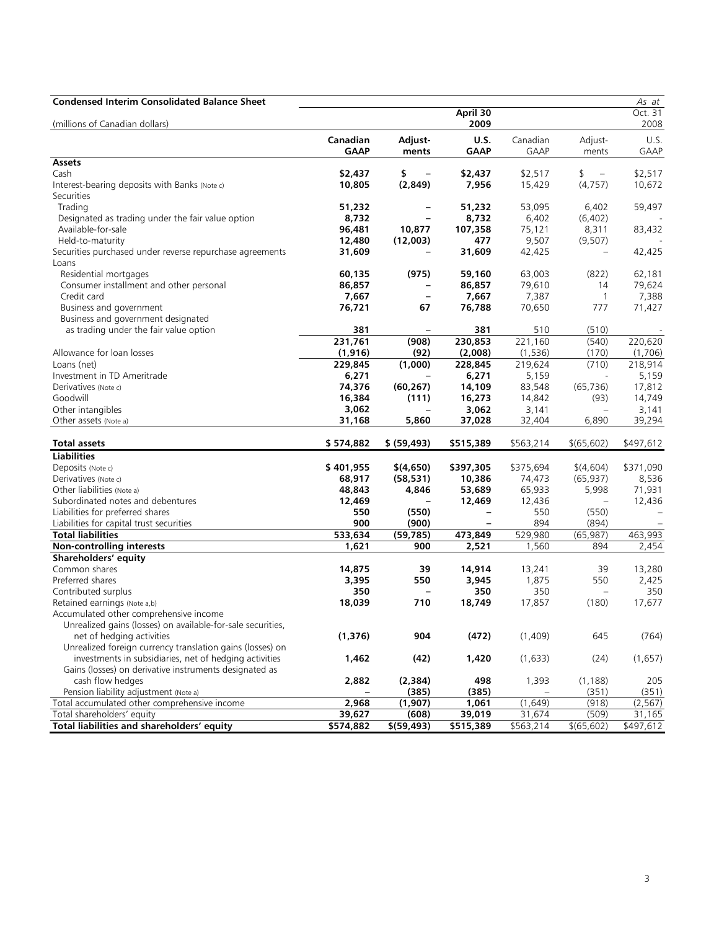| <b>Condensed Interim Consolidated Balance Sheet</b>         |             |                          |                          |             |                   | As at       |
|-------------------------------------------------------------|-------------|--------------------------|--------------------------|-------------|-------------------|-------------|
|                                                             |             |                          | April 30                 |             |                   | Oct. 31     |
| (millions of Canadian dollars)                              |             |                          | 2009                     |             |                   | 2008        |
|                                                             | Canadian    | Adjust-                  | <b>U.S.</b>              | Canadian    | Adjust-           | U.S.        |
|                                                             | <b>GAAP</b> | ments                    | <b>GAAP</b>              | <b>GAAP</b> | ments             | <b>GAAP</b> |
| <b>Assets</b>                                               |             |                          |                          |             |                   |             |
| Cash                                                        | \$2,437     | \$<br>$\qquad \qquad -$  | \$2,437                  | \$2,517     | \$<br>$\equiv$    | \$2,517     |
| Interest-bearing deposits with Banks (Note c)               | 10,805      | (2,849)                  | 7,956                    | 15,429      | (4, 757)          | 10,672      |
| Securities                                                  |             |                          |                          |             |                   |             |
| Trading                                                     | 51,232      |                          | 51,232                   | 53,095      | 6,402             | 59,497      |
| Designated as trading under the fair value option           | 8,732       |                          | 8,732                    | 6,402       | (6, 402)          |             |
| Available-for-sale                                          | 96,481      | 10,877                   | 107,358                  | 75,121      | 8,311             | 83,432      |
| Held-to-maturity                                            | 12,480      | (12,003)                 | 477                      | 9,507       | (9,507)           |             |
| Securities purchased under reverse repurchase agreements    | 31,609      |                          | 31,609                   | 42,425      | $\qquad \qquad -$ | 42,425      |
| Loans                                                       |             |                          |                          |             |                   |             |
| Residential mortgages                                       | 60,135      | (975)                    | 59,160                   | 63,003      | (822)             | 62,181      |
| Consumer installment and other personal                     | 86,857      |                          | 86,857                   | 79,610      | 14                | 79,624      |
| Credit card                                                 | 7,667       | $\overline{\phantom{0}}$ | 7,667                    | 7,387       | $\mathbf{1}$      | 7,388       |
| Business and government                                     | 76,721      | 67                       | 76,788                   | 70,650      | 777               | 71,427      |
| Business and government designated                          |             |                          |                          |             |                   |             |
| as trading under the fair value option                      | 381         |                          | 381                      | 510         | (510)             |             |
|                                                             | 231,761     | (908)                    | 230,853                  | 221,160     | (540)             | 220,620     |
| Allowance for loan losses                                   | (1, 916)    | (92)                     | (2,008)                  | (1, 536)    | (170)             | (1,706)     |
| Loans (net)                                                 | 229,845     | (1,000)                  | 228,845                  | 219,624     | (710)             | 218,914     |
| Investment in TD Ameritrade                                 | 6,271       |                          | 6,271                    | 5,159       |                   | 5,159       |
| Derivatives (Note c)                                        | 74,376      | (60, 267)                | 14,109                   | 83,548      | (65, 736)         | 17,812      |
| Goodwill                                                    | 16,384      | (111)                    | 16,273                   | 14,842      | (93)              | 14,749      |
| Other intangibles                                           | 3,062       |                          | 3,062                    | 3,141       | $\equiv$          | 3,141       |
| Other assets (Note a)                                       | 31,168      | 5,860                    | 37,028                   | 32,404      | 6,890             | 39,294      |
| Total assets                                                | \$574,882   | \$ (59, 493)             | \$515,389                | \$563,214   | \$(65,602)        | \$497,612   |
| <b>Liabilities</b>                                          |             |                          |                          |             |                   |             |
| Deposits (Note c)                                           | \$401,955   | \$(4,650)                | \$397,305                | \$375,694   | \$(4,604)         | \$371,090   |
| Derivatives (Note c)                                        | 68,917      | (58, 531)                | 10,386                   | 74,473      | (65, 937)         | 8,536       |
| Other liabilities (Note a)                                  | 48,843      | 4,846                    | 53,689                   | 65,933      | 5,998             | 71,931      |
| Subordinated notes and debentures                           | 12,469      |                          | 12,469                   | 12,436      |                   | 12,436      |
| Liabilities for preferred shares                            | 550         | (550)                    | $\overline{\phantom{0}}$ | 550         | (550)             |             |
| Liabilities for capital trust securities                    | 900         | (900)                    |                          | 894         | (894)             |             |
| <b>Total liabilities</b>                                    | 533,634     | (59, 785)                | 473,849                  | 529,980     | (65, 987)         | 463,993     |
| Non-controlling interests                                   | 1,621       | 900                      | 2,521                    | 1,560       | 894               | 2,454       |
| Shareholders' equity                                        |             |                          |                          |             |                   |             |
| Common shares                                               | 14,875      | 39                       | 14,914                   | 13,241      | 39                | 13,280      |
| Preferred shares                                            | 3,395       | 550                      | 3,945                    | 1,875       | 550               | 2,425       |
| Contributed surplus                                         | 350         |                          | 350                      | 350         | $\equiv$          | 350         |
| Retained earnings (Note a,b)                                | 18,039      | 710                      | 18,749                   | 17,857      | (180)             | 17,677      |
| Accumulated other comprehensive income                      |             |                          |                          |             |                   |             |
| Unrealized gains (losses) on available-for-sale securities, |             |                          |                          |             |                   |             |
| net of hedging activities                                   | (1, 376)    | 904                      | (472)                    | (1,409)     | 645               | (764)       |
| Unrealized foreign currency translation gains (losses) on   |             |                          |                          |             |                   |             |
| investments in subsidiaries, net of hedging activities      | 1,462       | (42)                     | 1,420                    | (1,633)     | (24)              | (1,657)     |
| Gains (losses) on derivative instruments designated as      |             |                          |                          |             |                   |             |
| cash flow hedges                                            | 2,882       | (2, 384)                 | 498                      | 1,393       | (1, 188)          | 205         |
| Pension liability adjustment (Note a)                       |             | (385)                    | (385)                    |             | (351)             | (351)       |
| Total accumulated other comprehensive income                | 2,968       | (1,907)                  | 1,061                    | (1,649)     | (918)             | (2, 567)    |
| Total shareholders' equity                                  | 39,627      | (608)                    | 39,019                   | 31,674      | (509)             | 31,165      |
| <b>Total liabilities and shareholders' equity</b>           | \$574,882   | \$(59, 493)              | \$515,389                | \$563,214   | \$(65, 602)       | \$497,612   |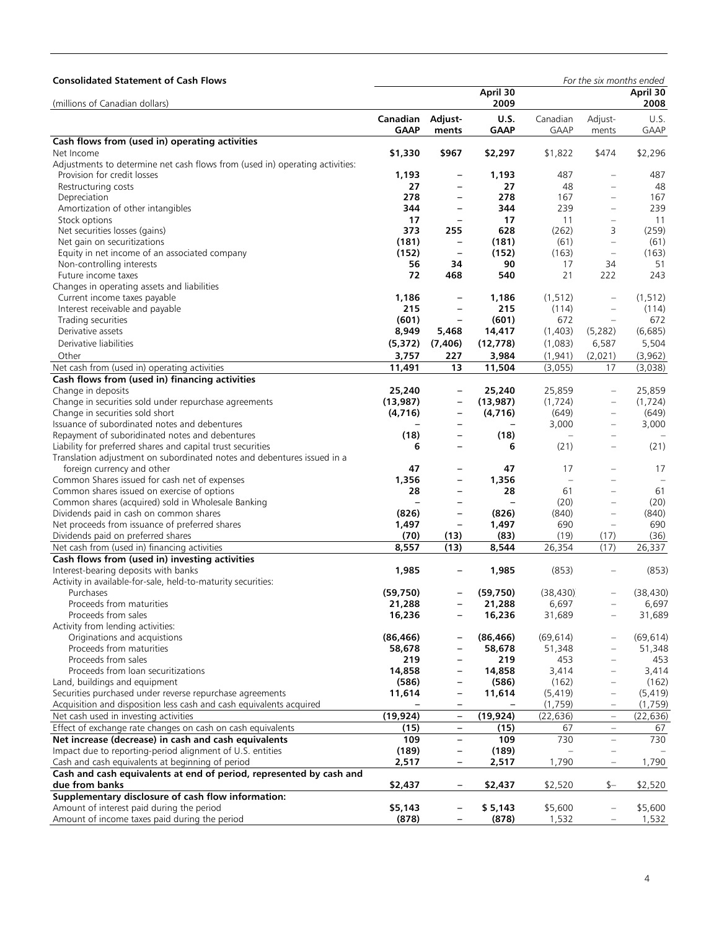| <b>Consolidated Statement of Cash Flows</b>                                  |                         |                                        |                            |                         | For the six months ended |                    |
|------------------------------------------------------------------------------|-------------------------|----------------------------------------|----------------------------|-------------------------|--------------------------|--------------------|
| (millions of Canadian dollars)                                               |                         |                                        | April 30<br>2009           |                         |                          | April 30<br>2008   |
|                                                                              | Canadian<br><b>GAAP</b> | Adjust-<br>ments                       | <b>U.S.</b><br><b>GAAP</b> | Canadian<br><b>GAAP</b> | Adjust-<br>ments         | U.S.<br>GAAP       |
| Cash flows from (used in) operating activities                               |                         |                                        |                            |                         |                          |                    |
| Net Income                                                                   | \$1,330                 | \$967                                  | \$2,297                    | \$1,822                 | \$474                    | \$2,296            |
| Adjustments to determine net cash flows from (used in) operating activities: |                         |                                        |                            |                         |                          |                    |
| Provision for credit losses                                                  | 1,193                   | $\overline{\phantom{0}}$               | 1,193                      | 487                     | $\equiv$                 | 487                |
| Restructuring costs                                                          | 27                      | $\qquad \qquad -$                      | 27                         | 48                      | ÷                        | 48                 |
| Depreciation                                                                 | 278                     | $\overline{\phantom{0}}$               | 278                        | 167                     | $\overline{\phantom{0}}$ | 167                |
| Amortization of other intangibles                                            | 344                     | $\qquad \qquad -$                      | 344                        | 239                     | $\equiv$                 | 239                |
| Stock options                                                                | 17                      | $\overline{\phantom{a}}$               | 17                         | 11                      | ÷                        | 11                 |
| Net securities losses (gains)                                                | 373                     | 255                                    | 628                        | (262)                   | 3                        | (259)              |
| Net gain on securitizations                                                  | (181)                   | $\qquad \qquad -$                      | (181)                      | (61)                    | $\qquad \qquad -$        | (61)               |
| Equity in net income of an associated company                                | (152)                   | $\qquad \qquad -$                      | (152)                      | (163)                   | $\qquad \qquad -$        | (163)              |
| Non-controlling interests                                                    | 56                      | 34                                     | 90                         | 17                      | 34                       | 51                 |
| Future income taxes                                                          | 72                      | 468                                    | 540                        | 21                      | 222                      | 243                |
| Changes in operating assets and liabilities                                  |                         |                                        |                            |                         |                          |                    |
| Current income taxes payable                                                 | 1,186<br>215            | $\qquad \qquad -$<br>$\qquad \qquad -$ | 1,186<br>215               | (1, 512)<br>(114)       | $\overline{\phantom{0}}$ | (1, 512)           |
| Interest receivable and payable<br>Trading securities                        | (601)                   | $\qquad \qquad -$                      | (601)                      | 672                     | ÷<br>$\qquad \qquad -$   | (114)<br>672       |
| Derivative assets                                                            | 8,949                   | 5,468                                  | 14,417                     | (1,403)                 | (5,282)                  | (6,685)            |
| Derivative liabilities                                                       | (5, 372)                | (7, 406)                               | (12, 778)                  | (1,083)                 | 6,587                    | 5,504              |
| Other                                                                        | 3,757                   | 227                                    | 3,984                      | (1, 941)                | (2,021)                  | (3,962)            |
| Net cash from (used in) operating activities                                 | 11,491                  | 13                                     | 11,504                     | (3,055)                 | 17                       | (3,038)            |
| Cash flows from (used in) financing activities                               |                         |                                        |                            |                         |                          |                    |
| Change in deposits                                                           | 25,240                  | -                                      | 25,240                     | 25,859                  | $\qquad \qquad -$        | 25,859             |
| Change in securities sold under repurchase agreements                        | (13, 987)               | $\overline{\phantom{0}}$               | (13,987)                   | (1, 724)                |                          | (1, 724)           |
| Change in securities sold short                                              | (4,716)                 | $\qquad \qquad -$                      | (4,716)                    | (649)                   | $\qquad \qquad -$        | (649)              |
| Issuance of subordinated notes and debentures                                |                         | $\overline{\phantom{0}}$               |                            | 3,000                   | $\overline{\phantom{0}}$ | 3,000              |
| Repayment of suboridinated notes and debentures                              | (18)                    | $\overline{\phantom{0}}$               | (18)                       |                         |                          |                    |
| Liability for preferred shares and capital trust securities                  | 6                       | $\overline{\phantom{0}}$               | 6                          | (21)                    | $\overline{\phantom{0}}$ | (21)               |
| Translation adjustment on subordinated notes and debentures issued in a      |                         |                                        |                            |                         |                          |                    |
| foreign currency and other                                                   | 47                      | $\overline{\phantom{0}}$               | 47                         | 17                      |                          | 17                 |
| Common Shares issued for cash net of expenses                                | 1,356                   | $\overline{\phantom{0}}$               | 1,356                      | $\equiv$                |                          |                    |
| Common shares issued on exercise of options                                  | 28                      | $\overline{\phantom{a}}$               | 28                         | 61                      | $\overline{\phantom{0}}$ | 61                 |
| Common shares (acquired) sold in Wholesale Banking                           |                         | $\overline{\phantom{0}}$               |                            | (20)                    | $\overline{\phantom{0}}$ | (20)               |
| Dividends paid in cash on common shares                                      | (826)                   | $\overline{\phantom{0}}$               | (826)                      | (840)                   | $\overline{\phantom{0}}$ | (840)              |
| Net proceeds from issuance of preferred shares                               | 1,497                   | $\qquad \qquad -$                      | 1,497                      | 690                     | $\qquad \qquad -$        | 690                |
| Dividends paid on preferred shares                                           | (70)                    | (13)                                   | (83)                       | (19)                    | (17)                     | (36)               |
| Net cash from (used in) financing activities                                 | 8,557                   | (13)                                   | 8,544                      | 26,354                  | (17)                     | 26,337             |
| Cash flows from (used in) investing activities                               |                         |                                        |                            |                         |                          |                    |
| Interest-bearing deposits with banks                                         | 1,985                   |                                        | 1,985                      | (853)                   |                          | (853)              |
| Activity in available-for-sale, held-to-maturity securities:                 |                         |                                        |                            |                         |                          |                    |
| Purchases<br>Proceeds from maturities                                        | (59,750)                | $\overline{\phantom{0}}$               | (59, 750)<br>21,288        | (38, 430)<br>6,697      |                          | (38, 430)<br>6,697 |
| Proceeds from sales                                                          | 21,288<br>16,236        |                                        | 16,236                     | 31,689                  | $\overline{\phantom{0}}$ | 31,689             |
| Activity from lending activities:                                            |                         |                                        |                            |                         |                          |                    |
| Originations and acquistions                                                 | (86, 466)               |                                        | (86, 466)                  | (69, 614)               |                          | (69, 614)          |
| Proceeds from maturities                                                     | 58,678                  |                                        | 58,678                     | 51,348                  |                          | 51,348             |
| Proceeds from sales                                                          | 219                     | -                                      | 219                        | 453                     |                          | 453                |
| Proceeds from loan securitizations                                           | 14,858                  |                                        | 14,858                     | 3,414                   |                          | 3,414              |
| Land, buildings and equipment                                                | (586)                   | $\overline{\phantom{0}}$               | (586)                      | (162)                   | ÷                        | (162)              |
| Securities purchased under reverse repurchase agreements                     | 11,614                  | $\overline{\phantom{0}}$               | 11,614                     | (5, 419)                | -                        | (5, 419)           |
| Acquisition and disposition less cash and cash equivalents acquired          |                         |                                        |                            | (1,759)                 |                          | (1,759)            |
| Net cash used in investing activities                                        | (19, 924)               | $\overline{\phantom{m}}$               | (19, 924)                  | (22, 636)               | $\frac{1}{2}$            | (22, 636)          |
| Effect of exchange rate changes on cash on cash equivalents                  | (15)                    | $\qquad \qquad -$                      | (15)                       | 67                      | $\overline{\phantom{0}}$ | 67                 |
| Net increase (decrease) in cash and cash equivalents                         | 109                     | $\qquad \qquad -$                      | 109                        | 730                     | $\equiv$                 | 730                |
| Impact due to reporting-period alignment of U.S. entities                    | (189)                   | $\overline{\phantom{a}}$               | (189)                      |                         | -                        |                    |
| Cash and cash equivalents at beginning of period                             | 2,517                   | -                                      | 2,517                      | 1,790                   | -                        | 1,790              |
| Cash and cash equivalents at end of period, represented by cash and          |                         |                                        |                            |                         |                          |                    |
| due from banks                                                               | \$2,437                 | $\qquad \qquad -$                      | \$2,437                    | \$2,520                 | $$-$                     | \$2,520            |
| Supplementary disclosure of cash flow information:                           |                         |                                        |                            |                         |                          |                    |
| Amount of interest paid during the period                                    | \$5,143                 |                                        | \$5,143                    | \$5,600                 |                          | \$5,600            |
| Amount of income taxes paid during the period                                | (878)                   |                                        | (878)                      | 1,532                   |                          | 1,532              |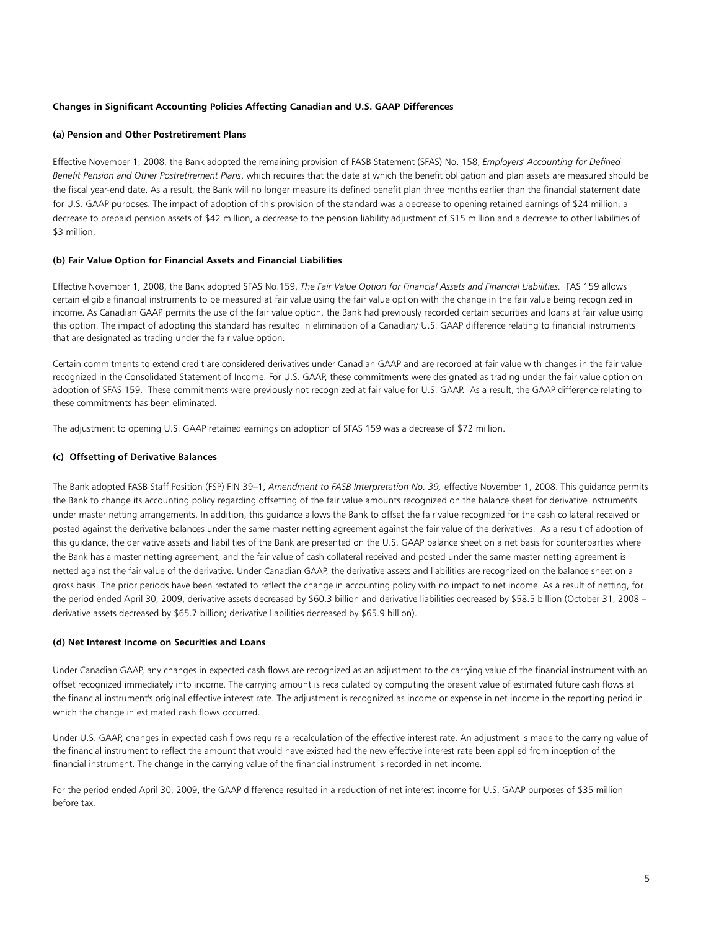## **Changes in Significant Accounting Policies Affecting Canadian and U.S. GAAP Differences**

## **(a) Pension and Other Postretirement Plans**

Effective November 1, 2008, the Bank adopted the remaining provision of FASB Statement (SFAS) No. 158, *Employers' Accounting for Defined Benefit Pension and Other Postretirement Plans*, which requires that the date at which the benefit obligation and plan assets are measured should be the fiscal year-end date. As a result, the Bank will no longer measure its defined benefit plan three months earlier than the financial statement date for U.S. GAAP purposes. The impact of adoption of this provision of the standard was a decrease to opening retained earnings of \$24 million, a decrease to prepaid pension assets of \$42 million, a decrease to the pension liability adjustment of \$15 million and a decrease to other liabilities of \$3 million.

## **(b) Fair Value Option for Financial Assets and Financial Liabilities**

Effective November 1, 2008, the Bank adopted SFAS No.159, *The Fair Value Option for Financial Assets and Financial Liabilities.* FAS 159 allows certain eligible financial instruments to be measured at fair value using the fair value option with the change in the fair value being recognized in income. As Canadian GAAP permits the use of the fair value option, the Bank had previously recorded certain securities and loans at fair value using this option. The impact of adopting this standard has resulted in elimination of a Canadian/ U.S. GAAP difference relating to financial instruments that are designated as trading under the fair value option.

Certain commitments to extend credit are considered derivatives under Canadian GAAP and are recorded at fair value with changes in the fair value recognized in the Consolidated Statement of Income. For U.S. GAAP, these commitments were designated as trading under the fair value option on adoption of SFAS 159. These commitments were previously not recognized at fair value for U.S. GAAP. As a result, the GAAP difference relating to these commitments has been eliminated.

The adjustment to opening U.S. GAAP retained earnings on adoption of SFAS 159 was a decrease of \$72 million.

### **(c) Offsetting of Derivative Balances**

The Bank adopted FASB Staff Position (FSP) FIN 39–1, *Amendment to FASB Interpretation No. 39,* effective November 1, 2008. This guidance permits the Bank to change its accounting policy regarding offsetting of the fair value amounts recognized on the balance sheet for derivative instruments under master netting arrangements. In addition, this guidance allows the Bank to offset the fair value recognized for the cash collateral received or posted against the derivative balances under the same master netting agreement against the fair value of the derivatives. As a result of adoption of this guidance, the derivative assets and liabilities of the Bank are presented on the U.S. GAAP balance sheet on a net basis for counterparties where the Bank has a master netting agreement, and the fair value of cash collateral received and posted under the same master netting agreement is netted against the fair value of the derivative. Under Canadian GAAP, the derivative assets and liabilities are recognized on the balance sheet on a gross basis. The prior periods have been restated to reflect the change in accounting policy with no impact to net income. As a result of netting, for the period ended April 30, 2009, derivative assets decreased by \$60.3 billion and derivative liabilities decreased by \$58.5 billion (October 31, 2008 – derivative assets decreased by \$65.7 billion; derivative liabilities decreased by \$65.9 billion).

#### **(d) Net Interest Income on Securities and Loans**

Under Canadian GAAP, any changes in expected cash flows are recognized as an adjustment to the carrying value of the financial instrument with an offset recognized immediately into income. The carrying amount is recalculated by computing the present value of estimated future cash flows at the financial instrument's original effective interest rate. The adjustment is recognized as income or expense in net income in the reporting period in which the change in estimated cash flows occurred.

Under U.S. GAAP, changes in expected cash flows require a recalculation of the effective interest rate. An adjustment is made to the carrying value of the financial instrument to reflect the amount that would have existed had the new effective interest rate been applied from inception of the financial instrument. The change in the carrying value of the financial instrument is recorded in net income.

For the period ended April 30, 2009, the GAAP difference resulted in a reduction of net interest income for U.S. GAAP purposes of \$35 million before tax.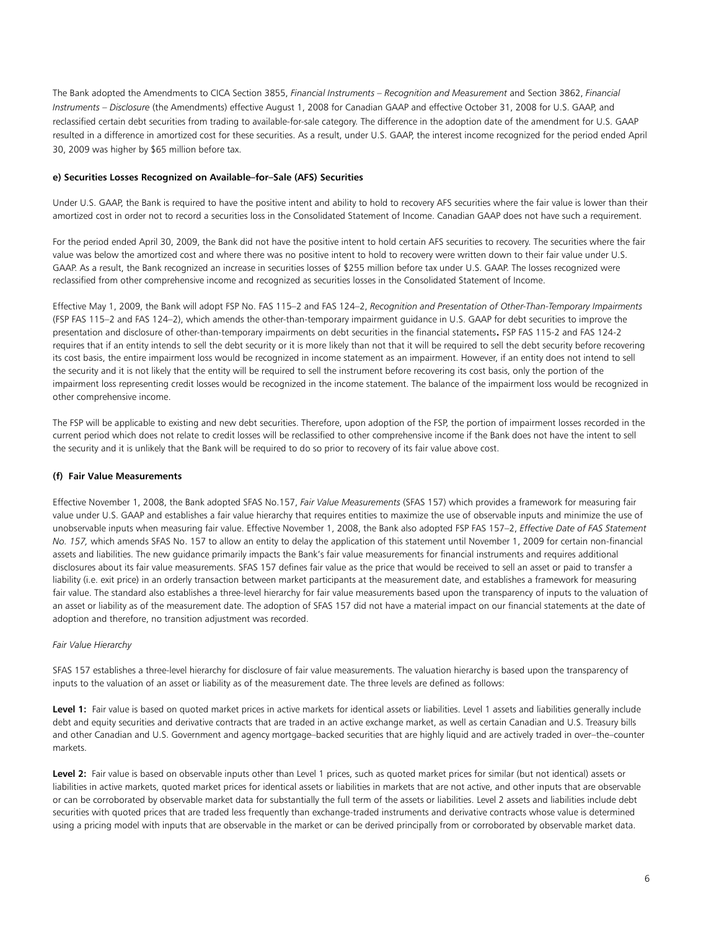The Bank adopted the Amendments to CICA Section 3855, *Financial Instruments – Recognition and Measurement* and Section 3862, *Financial Instruments – Disclosure* (the Amendments) effective August 1, 2008 for Canadian GAAP and effective October 31, 2008 for U.S. GAAP, and reclassified certain debt securities from trading to available-for-sale category. The difference in the adoption date of the amendment for U.S. GAAP resulted in a difference in amortized cost for these securities. As a result, under U.S. GAAP, the interest income recognized for the period ended April 30, 2009 was higher by \$65 million before tax.

### **e) Securities Losses Recognized on Available–for–Sale (AFS) Securities**

Under U.S. GAAP, the Bank is required to have the positive intent and ability to hold to recovery AFS securities where the fair value is lower than their amortized cost in order not to record a securities loss in the Consolidated Statement of Income. Canadian GAAP does not have such a requirement.

For the period ended April 30, 2009, the Bank did not have the positive intent to hold certain AFS securities to recovery. The securities where the fair value was below the amortized cost and where there was no positive intent to hold to recovery were written down to their fair value under U.S. GAAP. As a result, the Bank recognized an increase in securities losses of \$255 million before tax under U.S. GAAP. The losses recognized were reclassified from other comprehensive income and recognized as securities losses in the Consolidated Statement of Income.

Effective May 1, 2009, the Bank will adopt FSP No. FAS 115–2 and FAS 124–2, *Recognition and Presentation of Other-Than-Temporary Impairments*  (FSP FAS 115–2 and FAS 124–2), which amends the other-than-temporary impairment guidance in U.S. GAAP for debt securities to improve the presentation and disclosure of other-than-temporary impairments on debt securities in the financial statements. FSP FAS 115-2 and FAS 124-2 requires that if an entity intends to sell the debt security or it is more likely than not that it will be required to sell the debt security before recovering its cost basis, the entire impairment loss would be recognized in income statement as an impairment. However, if an entity does not intend to sell the security and it is not likely that the entity will be required to sell the instrument before recovering its cost basis, only the portion of the impairment loss representing credit losses would be recognized in the income statement. The balance of the impairment loss would be recognized in other comprehensive income.

The FSP will be applicable to existing and new debt securities. Therefore, upon adoption of the FSP, the portion of impairment losses recorded in the current period which does not relate to credit losses will be reclassified to other comprehensive income if the Bank does not have the intent to sell the security and it is unlikely that the Bank will be required to do so prior to recovery of its fair value above cost.

## **(f) Fair Value Measurements**

Effective November 1, 2008, the Bank adopted SFAS No.157, *Fair Value Measurements* (SFAS 157) which provides a framework for measuring fair value under U.S. GAAP and establishes a fair value hierarchy that requires entities to maximize the use of observable inputs and minimize the use of unobservable inputs when measuring fair value. Effective November 1, 2008, the Bank also adopted FSP FAS 157–2, *Effective Date of FAS Statement No. 157,* which amends SFAS No. 157 to allow an entity to delay the application of this statement until November 1, 2009 for certain non-financial assets and liabilities. The new guidance primarily impacts the Bank's fair value measurements for financial instruments and requires additional disclosures about its fair value measurements. SFAS 157 defines fair value as the price that would be received to sell an asset or paid to transfer a liability (i.e. exit price) in an orderly transaction between market participants at the measurement date, and establishes a framework for measuring fair value. The standard also establishes a three-level hierarchy for fair value measurements based upon the transparency of inputs to the valuation of an asset or liability as of the measurement date. The adoption of SFAS 157 did not have a material impact on our financial statements at the date of adoption and therefore, no transition adjustment was recorded.

## *Fair Value Hierarchy*

SFAS 157 establishes a three-level hierarchy for disclosure of fair value measurements. The valuation hierarchy is based upon the transparency of inputs to the valuation of an asset or liability as of the measurement date. The three levels are defined as follows:

Level 1: Fair value is based on quoted market prices in active markets for identical assets or liabilities. Level 1 assets and liabilities generally include debt and equity securities and derivative contracts that are traded in an active exchange market, as well as certain Canadian and U.S. Treasury bills and other Canadian and U.S. Government and agency mortgage–backed securities that are highly liquid and are actively traded in over–the–counter markets.

Level 2: Fair value is based on observable inputs other than Level 1 prices, such as quoted market prices for similar (but not identical) assets or liabilities in active markets, quoted market prices for identical assets or liabilities in markets that are not active, and other inputs that are observable or can be corroborated by observable market data for substantially the full term of the assets or liabilities. Level 2 assets and liabilities include debt securities with quoted prices that are traded less frequently than exchange-traded instruments and derivative contracts whose value is determined using a pricing model with inputs that are observable in the market or can be derived principally from or corroborated by observable market data.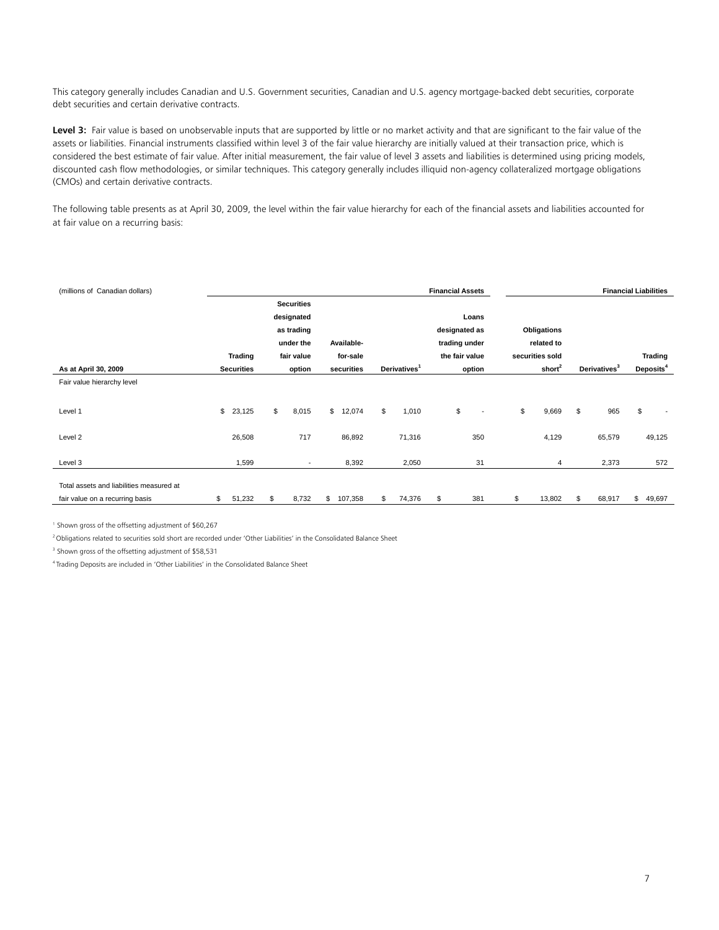This category generally includes Canadian and U.S. Government securities, Canadian and U.S. agency mortgage-backed debt securities, corporate debt securities and certain derivative contracts.

Level 3: Fair value is based on unobservable inputs that are supported by little or no market activity and that are significant to the fair value of the assets or liabilities. Financial instruments classified within level 3 of the fair value hierarchy are initially valued at their transaction price, which is considered the best estimate of fair value. After initial measurement, the fair value of level 3 assets and liabilities is determined using pricing models, discounted cash flow methodologies, or similar techniques. This category generally includes illiquid non-agency collateralized mortgage obligations (CMOs) and certain derivative contracts.

The following table presents as at April 30, 2009, the level within the fair value hierarchy for each of the financial assets and liabilities accounted for at fair value on a recurring basis:

| (millions of Canadian dollars)           |                   |                          |               |                          | <b>Financial Assets</b> |                          |    |                    | <b>Financial Liabilities</b> |                       |
|------------------------------------------|-------------------|--------------------------|---------------|--------------------------|-------------------------|--------------------------|----|--------------------|------------------------------|-----------------------|
|                                          |                   | <b>Securities</b>        |               |                          |                         |                          |    |                    |                              |                       |
|                                          |                   | designated               |               |                          |                         | Loans                    |    |                    |                              |                       |
|                                          |                   | as trading               |               |                          | designated as           |                          |    | <b>Obligations</b> |                              |                       |
|                                          |                   | under the                | Available-    |                          | trading under           |                          |    | related to         |                              |                       |
|                                          | <b>Trading</b>    | fair value               | for-sale      |                          | the fair value          |                          |    | securities sold    |                              | <b>Trading</b>        |
| As at April 30, 2009                     | <b>Securities</b> | option                   | securities    | Derivatives <sup>1</sup> |                         | option                   |    | short <sup>2</sup> | Derivatives <sup>3</sup>     | Deposits <sup>4</sup> |
| Fair value hierarchy level               |                   |                          |               |                          |                         |                          |    |                    |                              |                       |
|                                          |                   |                          |               |                          |                         |                          |    |                    |                              |                       |
| Level 1                                  | \$<br>23,125      | \$<br>8,015              | \$<br>12,074  | \$<br>1,010              | \$                      | $\overline{\phantom{a}}$ | \$ | 9,669              | \$<br>965                    | \$                    |
|                                          |                   |                          |               |                          |                         |                          |    |                    |                              |                       |
| Level 2                                  | 26,508            | 717                      | 86,892        | 71,316                   |                         | 350                      |    | 4,129              | 65,579                       | 49,125                |
|                                          |                   |                          |               |                          |                         |                          |    |                    |                              |                       |
| Level 3                                  | 1,599             | $\overline{\phantom{a}}$ | 8,392         | 2,050                    |                         | 31                       |    | 4                  | 2,373                        | 572                   |
|                                          |                   |                          |               |                          |                         |                          |    |                    |                              |                       |
| Total assets and liabilities measured at |                   |                          |               |                          |                         |                          |    |                    |                              |                       |
| fair value on a recurring basis          | \$<br>51,232      | \$<br>8,732              | \$<br>107,358 | \$<br>74,376             | \$                      | 381                      | \$ | 13,802             | \$<br>68,917                 | \$<br>49,697          |

1 Shown gross of the offsetting adjustment of \$60,267

<sup>2</sup> Obligations related to securities sold short are recorded under 'Other Liabilities' in the Consolidated Balance Sheet

3 Shown gross of the offsetting adjustment of \$58,531

4 Trading Deposits are included in 'Other Liabilities' in the Consolidated Balance Sheet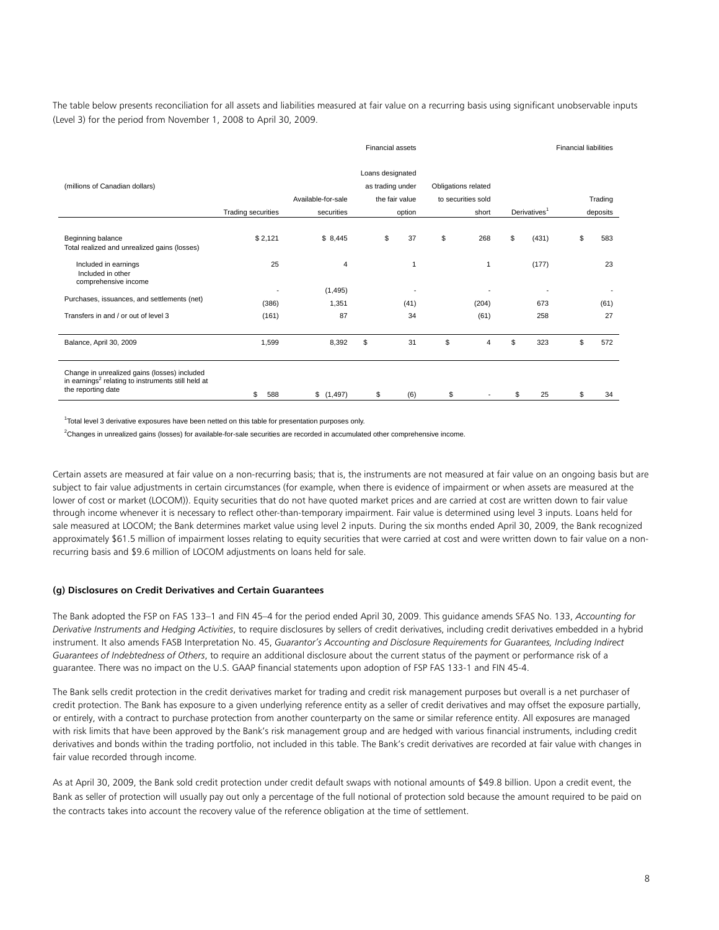The table below presents reconciliation for all assets and liabilities measured at fair value on a recurring basis using significant unobservable inputs (Level 3) for the period from November 1, 2008 to April 30, 2009.

|                                                                                                                                      |                    |                    | <b>Financial assets</b>              |                          |                     |                    |    |                          | <b>Financial liabilities</b> |          |
|--------------------------------------------------------------------------------------------------------------------------------------|--------------------|--------------------|--------------------------------------|--------------------------|---------------------|--------------------|----|--------------------------|------------------------------|----------|
| (millions of Canadian dollars)                                                                                                       |                    | Available-for-sale | Loans designated<br>as trading under | the fair value           | Obligations related | to securities sold |    | Derivatives <sup>1</sup> |                              | Trading  |
|                                                                                                                                      | Trading securities | securities         |                                      | option                   |                     | short              |    |                          |                              | deposits |
| Beginning balance<br>Total realized and unrealized gains (losses)                                                                    | \$2,121            | \$8,445            | \$                                   | 37                       | \$                  | 268                | \$ | (431)                    | \$                           | 583      |
| Included in earnings<br>Included in other<br>comprehensive income                                                                    | 25                 | 4                  |                                      | 1                        |                     |                    |    | (177)                    |                              | 23       |
|                                                                                                                                      |                    | (1, 495)           |                                      | $\overline{\phantom{a}}$ |                     | ٠                  |    |                          |                              |          |
| Purchases, issuances, and settlements (net)                                                                                          | (386)              | 1,351              |                                      | (41)                     |                     | (204)              |    | 673                      |                              | (61)     |
| Transfers in and / or out of level 3                                                                                                 | (161)              | 87                 |                                      | 34                       |                     | (61)               |    | 258                      |                              | 27       |
| Balance, April 30, 2009                                                                                                              | 1,599              | 8,392              | \$                                   | 31                       | \$                  | 4                  | \$ | 323                      | \$                           | 572      |
| Change in unrealized gains (losses) included<br>in earnings <sup>2</sup> relating to instruments still held at<br>the reporting date | 588<br>\$          | \$(1,497)          | \$                                   | (6)                      | \$                  | $\blacksquare$     | S  | 25                       | \$                           | 34       |

<sup>1</sup>Total level 3 derivative exposures have been netted on this table for presentation purposes only.

2 Changes in unrealized gains (losses) for available-for-sale securities are recorded in accumulated other comprehensive income.

Certain assets are measured at fair value on a non-recurring basis; that is, the instruments are not measured at fair value on an ongoing basis but are subject to fair value adjustments in certain circumstances (for example, when there is evidence of impairment or when assets are measured at the lower of cost or market (LOCOM)). Equity securities that do not have quoted market prices and are carried at cost are written down to fair value through income whenever it is necessary to reflect other-than-temporary impairment. Fair value is determined using level 3 inputs. Loans held for sale measured at LOCOM; the Bank determines market value using level 2 inputs. During the six months ended April 30, 2009, the Bank recognized approximately \$61.5 million of impairment losses relating to equity securities that were carried at cost and were written down to fair value on a nonrecurring basis and \$9.6 million of LOCOM adjustments on loans held for sale.

#### **(g) Disclosures on Credit Derivatives and Certain Guarantees**

The Bank adopted the FSP on FAS 133–1 and FIN 45–4 for the period ended April 30, 2009. This guidance amends SFAS No. 133, *Accounting for Derivative Instruments and Hedging Activities*, to require disclosures by sellers of credit derivatives, including credit derivatives embedded in a hybrid instrument. It also amends FASB Interpretation No. 45, *Guarantor's Accounting and Disclosure Requirements for Guarantees, Including Indirect Guarantees of Indebtedness of Others*, to require an additional disclosure about the current status of the payment or performance risk of a guarantee. There was no impact on the U.S. GAAP financial statements upon adoption of FSP FAS 133-1 and FIN 45-4.

The Bank sells credit protection in the credit derivatives market for trading and credit risk management purposes but overall is a net purchaser of credit protection. The Bank has exposure to a given underlying reference entity as a seller of credit derivatives and may offset the exposure partially, or entirely, with a contract to purchase protection from another counterparty on the same or similar reference entity. All exposures are managed with risk limits that have been approved by the Bank's risk management group and are hedged with various financial instruments, including credit derivatives and bonds within the trading portfolio, not included in this table. The Bank's credit derivatives are recorded at fair value with changes in fair value recorded through income.

As at April 30, 2009, the Bank sold credit protection under credit default swaps with notional amounts of \$49.8 billion. Upon a credit event, the Bank as seller of protection will usually pay out only a percentage of the full notional of protection sold because the amount required to be paid on the contracts takes into account the recovery value of the reference obligation at the time of settlement.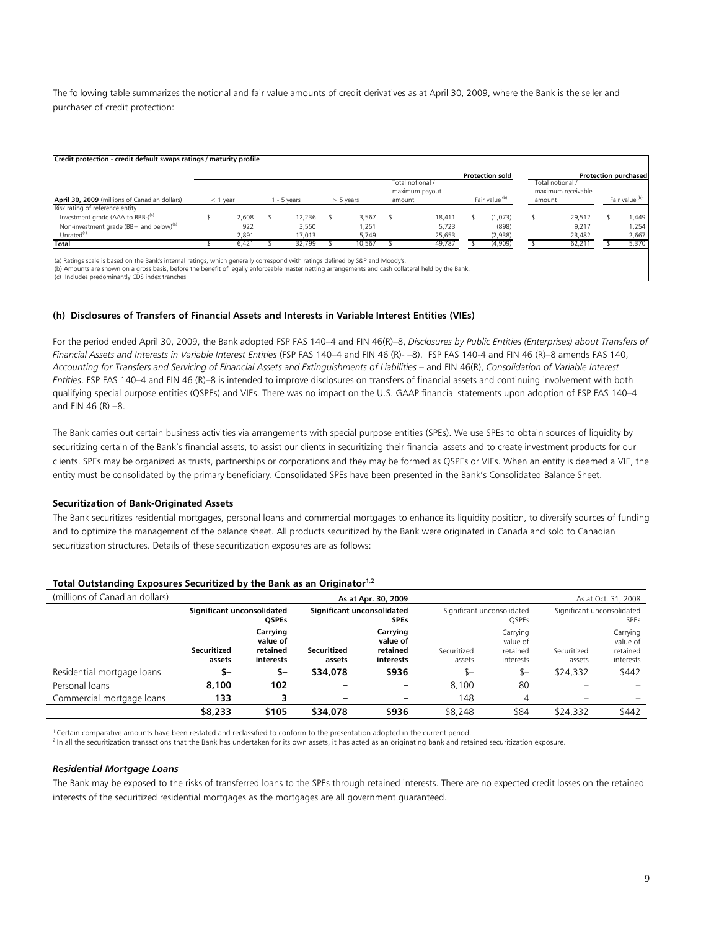The following table summarizes the notional and fair value amounts of credit derivatives as at April 30, 2009, where the Bank is the seller and purchaser of credit protection:

|                                                     |            |       |           |             |                                    |        | <b>Protection sold</b> |        |                                        | Protection purchased      |
|-----------------------------------------------------|------------|-------|-----------|-------------|------------------------------------|--------|------------------------|--------|----------------------------------------|---------------------------|
|                                                     |            |       |           |             | Total notional /<br>maximum payout |        |                        |        | Total notional /<br>maximum receivable |                           |
| April 30, 2009 (millions of Canadian dollars)       | $<$ 1 year |       | - 5 years | $> 5$ years | amount                             |        | Fair value (b)         | amount |                                        | Fair value <sup>(b)</sup> |
| Risk rating of reference entity                     |            |       |           |             |                                    |        |                        |        |                                        |                           |
| Investment grade (AAA to BBB-) <sup>(a)</sup>       |            | 2,608 | 12,236    | 3,567       |                                    | 18.411 | (1,073)                |        | 29,512                                 | ,449                      |
| Non-investment grade (BB+ and below) <sup>(a)</sup> |            | 922   | 3.550     | 1,251       |                                    | 5.723  | (898)                  |        | 9.217                                  | .254                      |
| Unrated <sup>(c)</sup>                              |            | 2,891 | 17,013    | 5,749       |                                    | 25,653 | (2,938)                |        | 23,482                                 | 2,667                     |
| Total                                               |            | 6,421 | 32,799    | 10,567      |                                    | 49,787 | (4,909)                |        | 62,211                                 | 5,370                     |

(a) Ratings scale is based on the Bank's internal ratings, which generally correspond with ratings defined by S&P and Moody's.

(b) Amounts are shown on a gross basis, before the benefit of legally enforceable master netting arrangements and cash collateral held by the Bank.

(c) Includes predominantly CDS index tranches

## **(h) Disclosures of Transfers of Financial Assets and Interests in Variable Interest Entities (VIEs)**

For the period ended April 30, 2009, the Bank adopted FSP FAS 140–4 and FIN 46(R)–8, *Disclosures by Public Entities (Enterprises) about Transfers of Financial Assets and Interests in Variable Interest Entities* (FSP FAS 140–4 and FIN 46 (R)- –8). FSP FAS 140-4 and FIN 46 (R)–8 amends FAS 140, *Accounting for Transfers and Servicing of Financial Assets and Extinguishments of Liabilities* – and FIN 46(R), *Consolidation of Variable Interest Entities*. FSP FAS 140–4 and FIN 46 (R)–8 is intended to improve disclosures on transfers of financial assets and continuing involvement with both qualifying special purpose entities (QSPEs) and VIEs. There was no impact on the U.S. GAAP financial statements upon adoption of FSP FAS 140–4 and FIN 46 (R) –8.

The Bank carries out certain business activities via arrangements with special purpose entities (SPEs). We use SPEs to obtain sources of liquidity by securitizing certain of the Bank's financial assets, to assist our clients in securitizing their financial assets and to create investment products for our clients. SPEs may be organized as trusts, partnerships or corporations and they may be formed as QSPEs or VIEs. When an entity is deemed a VIE, the entity must be consolidated by the primary beneficiary. Consolidated SPEs have been presented in the Bank's Consolidated Balance Sheet.

## **Securitization of Bank-Originated Assets**

The Bank securitizes residential mortgages, personal loans and commercial mortgages to enhance its liquidity position, to diversify sources of funding and to optimize the management of the balance sheet. All products securitized by the Bank were originated in Canada and sold to Canadian securitization structures. Details of these securitization exposures are as follows:

| (millions of Canadian dollars) |                                            |                                               |                                           | As at Apr. 30, 2009                           |                       |                                               |                                           | As at Oct. 31, 2008                           |  |
|--------------------------------|--------------------------------------------|-----------------------------------------------|-------------------------------------------|-----------------------------------------------|-----------------------|-----------------------------------------------|-------------------------------------------|-----------------------------------------------|--|
|                                | Significant unconsolidated<br><b>QSPEs</b> |                                               | Significant unconsolidated<br><b>SPEs</b> |                                               |                       | Significant unconsolidated<br>OSPEs           | Significant unconsolidated<br><b>SPEs</b> |                                               |  |
|                                | <b>Securitized</b><br>assets               | Carrying<br>value of<br>retained<br>interests | Securitized<br>assets                     | Carrying<br>value of<br>retained<br>interests | Securitized<br>assets | Carrying<br>value of<br>retained<br>interests | Securitized<br>assets                     | Carrying<br>value of<br>retained<br>interests |  |
| Residential mortgage loans     | \$–                                        | \$–                                           | \$34,078                                  | \$936                                         | \$—                   | $S-$                                          | \$24,332                                  | \$442                                         |  |
| Personal loans                 | 8,100                                      | 102                                           |                                           |                                               | 8.100                 | 80                                            |                                           |                                               |  |
| Commercial mortgage loans      | 133                                        | 3                                             | $\overline{\phantom{0}}$                  |                                               | 148                   | 4                                             |                                           |                                               |  |
|                                | \$8,233                                    | \$105                                         | \$34,078                                  | \$936                                         | \$8,248               | \$84                                          | \$24,332                                  | \$442                                         |  |

## **Total Outstanding Exposures Securitized by the Bank as an Originator1,2**

 $1$  Certain comparative amounts have been restated and reclassified to conform to the presentation adopted in the current period.

 $^2$  In all the securitization transactions that the Bank has undertaken for its own assets, it has acted as an originating bank and retained securitization exposure.

## *Residential Mortgage Loans*

The Bank may be exposed to the risks of transferred loans to the SPEs through retained interests. There are no expected credit losses on the retained interests of the securitized residential mortgages as the mortgages are all government guaranteed.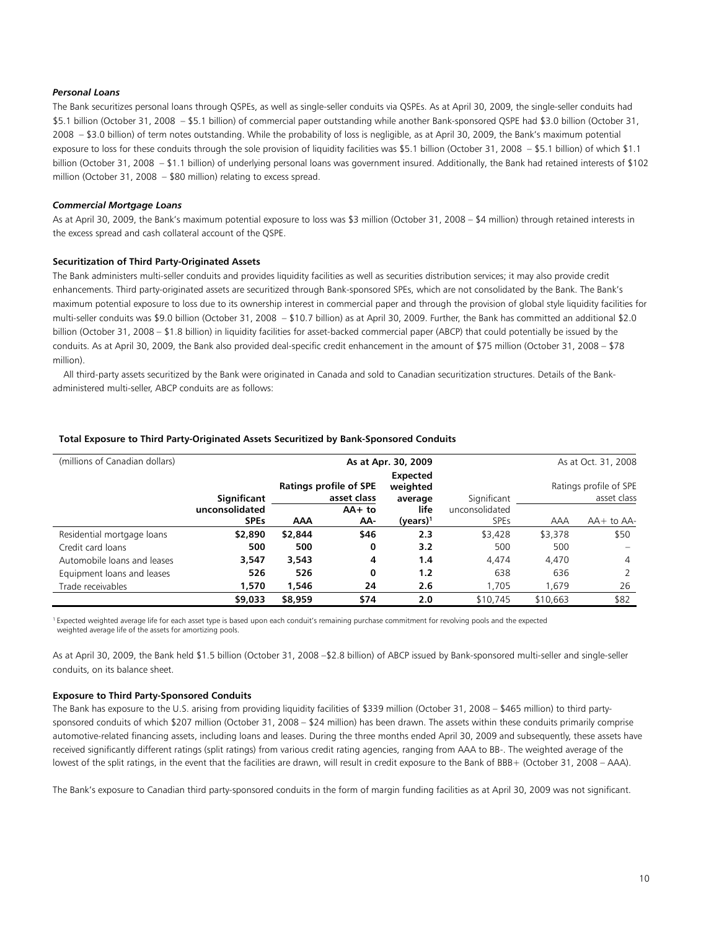### *Personal Loans*

The Bank securitizes personal loans through QSPEs, as well as single-seller conduits via QSPEs. As at April 30, 2009, the single-seller conduits had \$5.1 billion (October 31, 2008 – \$5.1 billion) of commercial paper outstanding while another Bank-sponsored QSPE had \$3.0 billion (October 31, 2008 – \$3.0 billion) of term notes outstanding. While the probability of loss is negligible, as at April 30, 2009, the Bank's maximum potential exposure to loss for these conduits through the sole provision of liquidity facilities was \$5.1 billion (October 31, 2008 – \$5.1 billion) of which \$1.1 billion (October 31, 2008 – \$1.1 billion) of underlying personal loans was government insured. Additionally, the Bank had retained interests of \$102 million (October 31, 2008 – \$80 million) relating to excess spread.

### *Commercial Mortgage Loans*

As at April 30, 2009, the Bank's maximum potential exposure to loss was \$3 million (October 31, 2008 – \$4 million) through retained interests in the excess spread and cash collateral account of the QSPE.

#### **Securitization of Third Party-Originated Assets**

The Bank administers multi-seller conduits and provides liquidity facilities as well as securities distribution services; it may also provide credit enhancements. Third party-originated assets are securitized through Bank-sponsored SPEs, which are not consolidated by the Bank. The Bank's maximum potential exposure to loss due to its ownership interest in commercial paper and through the provision of global style liquidity facilities for multi-seller conduits was \$9.0 billion (October 31, 2008 – \$10.7 billion) as at April 30, 2009. Further, the Bank has committed an additional \$2.0 billion (October 31, 2008 – \$1.8 billion) in liquidity facilities for asset-backed commercial paper (ABCP) that could potentially be issued by the conduits. As at April 30, 2009, the Bank also provided deal-specific credit enhancement in the amount of \$75 million (October 31, 2008 – \$78 million).

 All third-party assets securitized by the Bank were originated in Canada and sold to Canadian securitization structures. Details of the Bankadministered multi-seller, ABCP conduits are as follows:

| (millions of Canadian dollars) |                | As at Oct. 31, 2008 |                                              |                                        |                |            |                                       |
|--------------------------------|----------------|---------------------|----------------------------------------------|----------------------------------------|----------------|------------|---------------------------------------|
|                                | Significant    |                     | <b>Ratings profile of SPE</b><br>asset class | <b>Expected</b><br>weighted<br>average | Significant    |            | Ratings profile of SPE<br>asset class |
|                                | unconsolidated |                     | $AA+to$                                      | life                                   | unconsolidated |            |                                       |
|                                | <b>SPEs</b>    | AAA                 | AA-                                          | $(years)^1$                            | <b>SPEs</b>    | <b>AAA</b> | $AA+$ to $AA-$                        |
| Residential mortgage loans     | \$2,890        | \$2,844             | \$46                                         | 2.3                                    | \$3,428        | \$3,378    | \$50                                  |
| Credit card loans              | 500            | 500                 | 0                                            | 3.2                                    | 500            | 500        |                                       |
| Automobile loans and leases    | 3.547          | 3.543               | 4                                            | 1.4                                    | 4.474          | 4,470      | 4                                     |
| Equipment loans and leases     | 526            | 526                 | 0                                            | 1.2                                    | 638            | 636        |                                       |
| Trade receivables              | 1.570          | 1.546               | 24                                           | 2.6                                    | 1.705          | 1.679      | 26                                    |
|                                | \$9,033        | \$8,959             | \$74                                         | 2.0                                    | \$10,745       | \$10,663   | \$82                                  |

#### **Total Exposure to Third Party-Originated Assets Securitized by Bank-Sponsored Conduits**

<sup>1</sup> Expected weighted average life for each asset type is based upon each conduit's remaining purchase commitment for revolving pools and the expected weighted average life of the assets for amortizing pools.

As at April 30, 2009, the Bank held \$1.5 billion (October 31, 2008 –\$2.8 billion) of ABCP issued by Bank-sponsored multi-seller and single-seller conduits, on its balance sheet.

#### **Exposure to Third Party-Sponsored Conduits**

The Bank has exposure to the U.S. arising from providing liquidity facilities of \$339 million (October 31, 2008 – \$465 million) to third partysponsored conduits of which \$207 million (October 31, 2008 – \$24 million) has been drawn. The assets within these conduits primarily comprise automotive-related financing assets, including loans and leases. During the three months ended April 30, 2009 and subsequently, these assets have received significantly different ratings (split ratings) from various credit rating agencies, ranging from AAA to BB-. The weighted average of the lowest of the split ratings, in the event that the facilities are drawn, will result in credit exposure to the Bank of BBB+ (October 31, 2008 – AAA).

The Bank's exposure to Canadian third party-sponsored conduits in the form of margin funding facilities as at April 30, 2009 was not significant.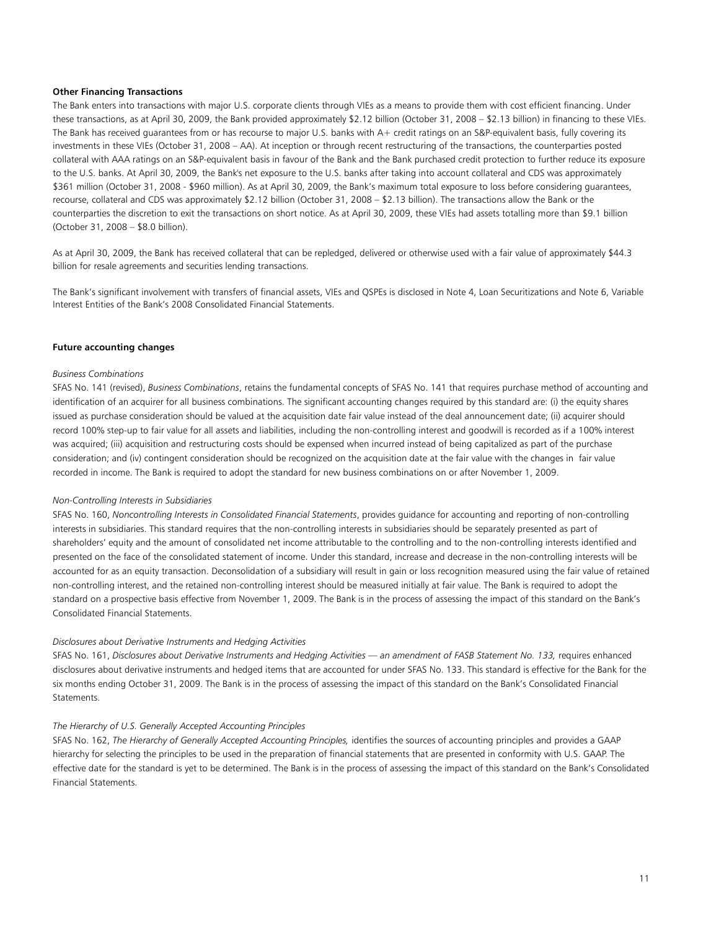### **Other Financing Transactions**

The Bank enters into transactions with major U.S. corporate clients through VIEs as a means to provide them with cost efficient financing. Under these transactions, as at April 30, 2009, the Bank provided approximately \$2.12 billion (October 31, 2008 – \$2.13 billion) in financing to these VIEs. The Bank has received guarantees from or has recourse to major U.S. banks with A+ credit ratings on an S&P-equivalent basis, fully covering its investments in these VIEs (October 31, 2008 – AA). At inception or through recent restructuring of the transactions, the counterparties posted collateral with AAA ratings on an S&P-equivalent basis in favour of the Bank and the Bank purchased credit protection to further reduce its exposure to the U.S. banks. At April 30, 2009, the Bank's net exposure to the U.S. banks after taking into account collateral and CDS was approximately \$361 million (October 31, 2008 - \$960 million). As at April 30, 2009, the Bank's maximum total exposure to loss before considering guarantees, recourse, collateral and CDS was approximately \$2.12 billion (October 31, 2008 – \$2.13 billion). The transactions allow the Bank or the counterparties the discretion to exit the transactions on short notice. As at April 30, 2009, these VIEs had assets totalling more than \$9.1 billion (October 31, 2008 – \$8.0 billion).

As at April 30, 2009, the Bank has received collateral that can be repledged, delivered or otherwise used with a fair value of approximately \$44.3 billion for resale agreements and securities lending transactions.

The Bank's significant involvement with transfers of financial assets, VIEs and QSPEs is disclosed in Note 4, Loan Securitizations and Note 6, Variable Interest Entities of the Bank's 2008 Consolidated Financial Statements.

### **Future accounting changes**

#### *Business Combinations*

SFAS No. 141 (revised), *Business Combinations*, retains the fundamental concepts of SFAS No. 141 that requires purchase method of accounting and identification of an acquirer for all business combinations. The significant accounting changes required by this standard are: (i) the equity shares issued as purchase consideration should be valued at the acquisition date fair value instead of the deal announcement date; (ii) acquirer should record 100% step-up to fair value for all assets and liabilities, including the non-controlling interest and goodwill is recorded as if a 100% interest was acquired; (iii) acquisition and restructuring costs should be expensed when incurred instead of being capitalized as part of the purchase consideration; and (iv) contingent consideration should be recognized on the acquisition date at the fair value with the changes in fair value recorded in income. The Bank is required to adopt the standard for new business combinations on or after November 1, 2009.

#### *Non-Controlling Interests in Subsidiaries*

SFAS No. 160, *Noncontrolling Interests in Consolidated Financial Statements*, provides guidance for accounting and reporting of non-controlling interests in subsidiaries. This standard requires that the non-controlling interests in subsidiaries should be separately presented as part of shareholders' equity and the amount of consolidated net income attributable to the controlling and to the non-controlling interests identified and presented on the face of the consolidated statement of income. Under this standard, increase and decrease in the non-controlling interests will be accounted for as an equity transaction. Deconsolidation of a subsidiary will result in gain or loss recognition measured using the fair value of retained non-controlling interest, and the retained non-controlling interest should be measured initially at fair value. The Bank is required to adopt the standard on a prospective basis effective from November 1, 2009. The Bank is in the process of assessing the impact of this standard on the Bank's Consolidated Financial Statements.

#### *Disclosures about Derivative Instruments and Hedging Activities*

SFAS No. 161, *Disclosures about Derivative Instruments and Hedging Activities — an amendment of FASB Statement No. 133,* requires enhanced disclosures about derivative instruments and hedged items that are accounted for under SFAS No. 133. This standard is effective for the Bank for the six months ending October 31, 2009. The Bank is in the process of assessing the impact of this standard on the Bank's Consolidated Financial Statements.

#### *The Hierarchy of U.S. Generally Accepted Accounting Principles*

SFAS No. 162, The Hierarchy of Generally Accepted Accounting Principles, identifies the sources of accounting principles and provides a GAAP hierarchy for selecting the principles to be used in the preparation of financial statements that are presented in conformity with U.S. GAAP. The effective date for the standard is yet to be determined. The Bank is in the process of assessing the impact of this standard on the Bank's Consolidated Financial Statements.